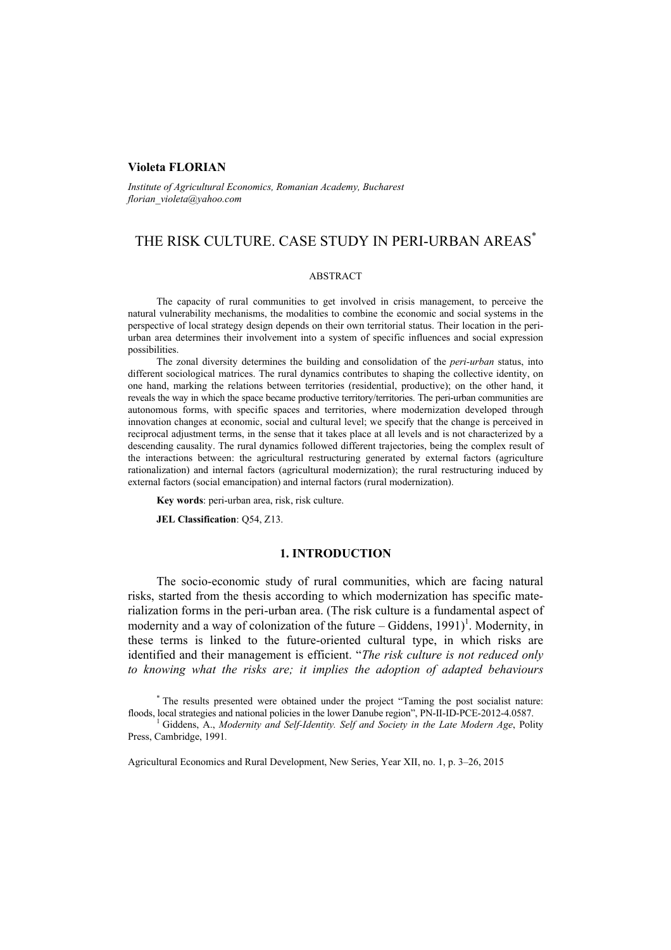### **Violeta FLORIAN**

*Institute of Agricultural Economics, Romanian Academy, Bucharest florian\_violeta@yahoo.com* 

# THE RISK CULTURE. CASE STUDY IN PERI-URBAN AREAS\*

#### **ABSTRACT**

The capacity of rural communities to get involved in crisis management, to perceive the natural vulnerability mechanisms, the modalities to combine the economic and social systems in the perspective of local strategy design depends on their own territorial status. Their location in the periurban area determines their involvement into a system of specific influences and social expression possibilities.

The zonal diversity determines the building and consolidation of the *peri-urban* status, into different sociological matrices. The rural dynamics contributes to shaping the collective identity, on one hand, marking the relations between territories (residential, productive); on the other hand, it reveals the way in which the space became productive territory/territories. The peri-urban communities are autonomous forms, with specific spaces and territories, where modernization developed through innovation changes at economic, social and cultural level; we specify that the change is perceived in reciprocal adjustment terms, in the sense that it takes place at all levels and is not characterized by a descending causality. The rural dynamics followed different trajectories, being the complex result of the interactions between: the agricultural restructuring generated by external factors (agriculture rationalization) and internal factors (agricultural modernization); the rural restructuring induced by external factors (social emancipation) and internal factors (rural modernization).

**Key words**: peri-urban area, risk, risk culture.

**JEL Classification**: Q54, Z13.

### **1. INTRODUCTION**

The socio-economic study of rural communities, which are facing natural risks, started from the thesis according to which modernization has specific materialization forms in the peri-urban area. (The risk culture is a fundamental aspect of modernity and a way of colonization of the future  $-$  Giddens, 1991)<sup>1</sup>. Modernity, in these terms is linked to the future-oriented cultural type, in which risks are identified and their management is efficient. "*The risk culture is not reduced only to knowing what the risks are; it implies the adoption of adapted behaviours* 

Agricultural Economics and Rural Development, New Series, Year XII, no. 1, p. 3–26, 2015

<sup>\*</sup> The results presented were obtained under the project "Taming the post socialist nature: floods, local strategies and national policies in the lower Danube region", PN-II-ID-PCE-2012-4.0587. 1

Giddens, A., *Modernity and Self-Identity. Self and Society in the Late Modern Age*, Polity Press, Cambridge, 1991*.*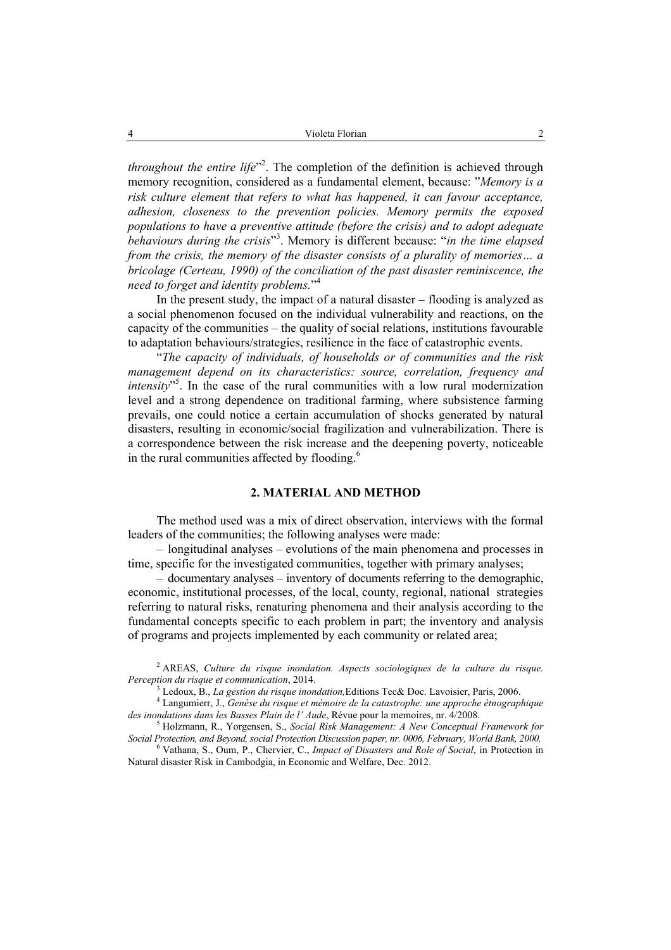*throughout the entire life*" 2 . The completion of the definition is achieved through memory recognition, considered as a fundamental element, because: "*Memory is a risk culture element that refers to what has happened, it can favour acceptance, adhesion, closeness to the prevention policies. Memory permits the exposed populations to have a preventive attitude (before the crisis) and to adopt adequate behaviours during the crisis*" 3 . Memory is different because: "*in the time elapsed from the crisis, the memory of the disaster consists of a plurality of memories… a bricolage (Certeau, 1990) of the conciliation of the past disaster reminiscence, the need to forget and identity problems.*" 4

In the present study, the impact of a natural disaster – flooding is analyzed as a social phenomenon focused on the individual vulnerability and reactions, on the capacity of the communities – the quality of social relations, institutions favourable to adaptation behaviours/strategies, resilience in the face of catastrophic events.

"*The capacity of individuals, of households or of communities and the risk management depend on its characteristics: source, correlation, frequency and intensity*" 5 . In the case of the rural communities with a low rural modernization level and a strong dependence on traditional farming, where subsistence farming prevails, one could notice a certain accumulation of shocks generated by natural disasters, resulting in economic/social fragilization and vulnerabilization. There is a correspondence between the risk increase and the deepening poverty, noticeable in the rural communities affected by flooding.<sup>6</sup>

## **2. MATERIAL AND METHOD**

The method used was a mix of direct observation, interviews with the formal leaders of the communities; the following analyses were made:

– longitudinal analyses – evolutions of the main phenomena and processes in time, specific for the investigated communities, together with primary analyses;

– documentary analyses – inventory of documents referring to the demographic, economic, institutional processes, of the local, county, regional, national strategies referring to natural risks, renaturing phenomena and their analysis according to the fundamental concepts specific to each problem in part; the inventory and analysis of programs and projects implemented by each community or related area;

<sup>2</sup> AREAS, *Culture du risque inondation. Aspects sociologiques de la culture du risque. Perception du risque et communication, 2014.* 

Ledoux, B., *La gestion du risque inondation*, Editions Tec& Doc. Lavoisier, Paris, 2006.

Langumierr, J., *Genèse du risque et mémoire de la catastrophe: une approche étnographique*  des inondations dans les Basses Plain de l' Aude, Révue pour la memoires, nr. 4/2008.

Holzmann, R., Yorgensen, S., *Social Risk Management: A New Conceptual Framework for Social Protection, and Beyond, social Protection Discussion paper, nr. 0006, February, World Bank, 2000.* <sup>6</sup>

Vathana, S., Oum, P., Chervier, C., *Impact of Disasters and Role of Social*, in Protection in Natural disaster Risk in Cambodgia, in Economic and Welfare, Dec. 2012.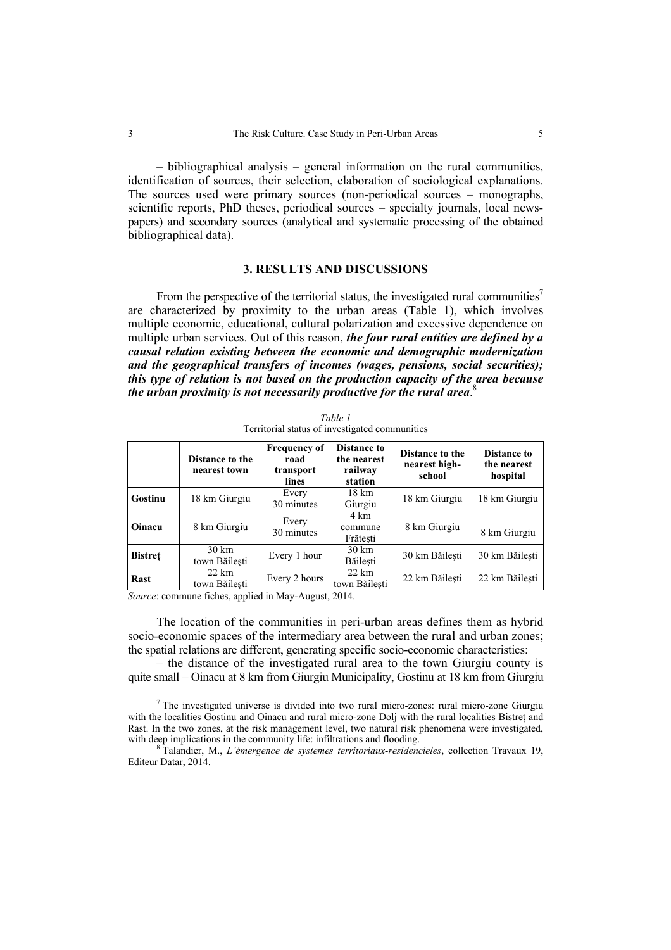– bibliographical analysis – general information on the rural communities, identification of sources, their selection, elaboration of sociological explanations. The sources used were primary sources (non-periodical sources – monographs, scientific reports, PhD theses, periodical sources – specialty journals, local newspapers) and secondary sources (analytical and systematic processing of the obtained bibliographical data).

### **3. RESULTS AND DISCUSSIONS**

From the perspective of the territorial status, the investigated rural communities<sup>7</sup> are characterized by proximity to the urban areas (Table 1), which involves multiple economic, educational, cultural polarization and excessive dependence on multiple urban services. Out of this reason, *the four rural entities are defined by a causal relation existing between the economic and demographic modernization and the geographical transfers of incomes (wages, pensions, social securities); this type of relation is not based on the production capacity of the area because the urban proximity is not necessarily productive for the rural area*. 8

|                | Distance to the<br>nearest town  | <b>Frequency of</b><br>road<br>transport<br>lines | <b>Distance to</b><br>the nearest<br>railway<br>station | Distance to the<br>nearest high-<br>school | Distance to<br>the nearest<br>hospital |
|----------------|----------------------------------|---------------------------------------------------|---------------------------------------------------------|--------------------------------------------|----------------------------------------|
| Gostinu        | 18 km Giurgiu                    | Every<br>30 minutes                               | 18 km<br>Giurgiu                                        | 18 km Giurgiu                              | 18 km Giurgiu                          |
| Oinacu         | 8 km Giurgiu                     | Every<br>30 minutes                               | 4 km<br>commune<br>Frătești                             | 8 km Giurgiu                               | 8 km Giurgiu                           |
| <b>Bistret</b> | 30 km<br>town Băilesti           | Every 1 hour                                      | $30 \text{ km}$<br>Băilesti                             | 30 km Băilesti                             | 30 km Băilesti                         |
| Rast           | $22 \text{ km}$<br>town Băilesti | Every 2 hours                                     | $22 \text{ km}$<br>town Băilesti                        | 22 km Băilesti                             | 22 km Băilesti                         |

*Table 1*  Territorial status of investigated communities

*Source*: commune fiches, applied in May-August, 2014.

The location of the communities in peri-urban areas defines them as hybrid socio-economic spaces of the intermediary area between the rural and urban zones; the spatial relations are different, generating specific socio-economic characteristics:

– the distance of the investigated rural area to the town Giurgiu county is quite small – Oinacu at 8 km from Giurgiu Municipality, Gostinu at 18 km from Giurgiu

 $7$  The investigated universe is divided into two rural micro-zones: rural micro-zone Giurgiu with the localities Gostinu and Oinacu and rural micro-zone Dolj with the rural localities Bistreţ and Rast. In the two zones, at the risk management level, two natural risk phenomena were investigated, with deep implications in the community life: infiltrations and flooding.

 Talandier, M., *L'émergence de systemes territoriaux-residencieles*, collection Travaux 19, Editeur Datar, 2014.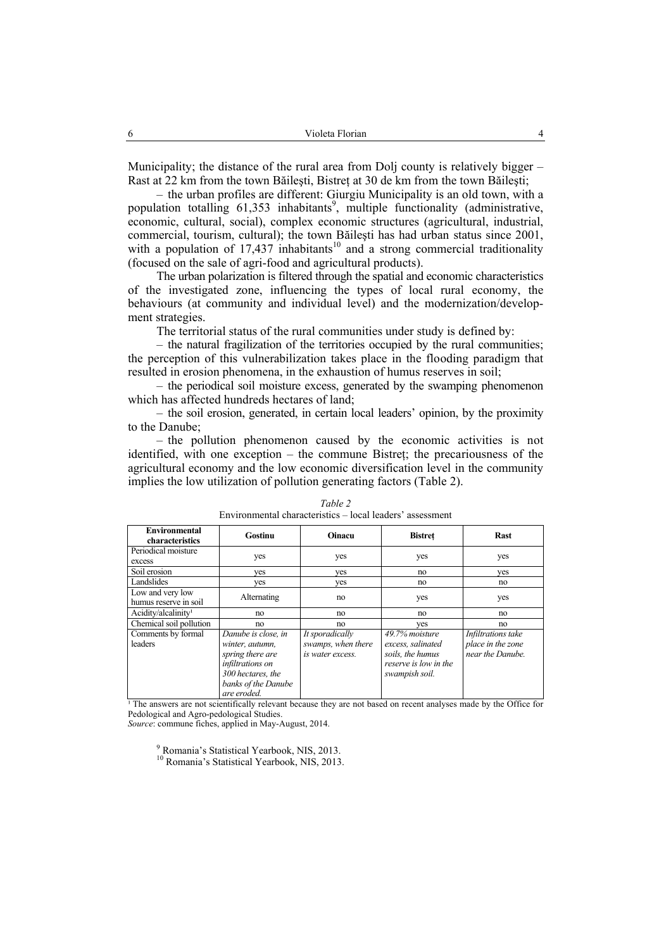Municipality; the distance of the rural area from Dolj county is relatively bigger – Rast at 22 km from the town Băilesti, Bistret at 30 de km from the town Băilesti;

– the urban profiles are different: Giurgiu Municipality is an old town, with a population totalling 61,353 inhabitants<sup>9</sup>, multiple functionality (administrative, economic, cultural, social), complex economic structures (agricultural, industrial, commercial, tourism, cultural); the town Băileşti has had urban status since 2001, with a population of  $17,437$  inhabitants<sup>10</sup> and a strong commercial traditionality (focused on the sale of agri-food and agricultural products).

The urban polarization is filtered through the spatial and economic characteristics of the investigated zone, influencing the types of local rural economy, the behaviours (at community and individual level) and the modernization/development strategies.

The territorial status of the rural communities under study is defined by:

– the natural fragilization of the territories occupied by the rural communities; the perception of this vulnerabilization takes place in the flooding paradigm that resulted in erosion phenomena, in the exhaustion of humus reserves in soil;

– the periodical soil moisture excess, generated by the swamping phenomenon which has affected hundreds hectares of land;

– the soil erosion, generated, in certain local leaders' opinion, by the proximity to the Danube;

– the pollution phenomenon caused by the economic activities is not identified, with one exception – the commune Bistreţ; the precariousness of the agricultural economy and the low economic diversification level in the community implies the low utilization of pollution generating factors (Table 2).

| <b>Environmental</b><br>characteristics   | Gostinu                                                                                                                                   | Oinacu                                                    | <b>Bistret</b>                                                                                        | <b>Rast</b>                                                 |
|-------------------------------------------|-------------------------------------------------------------------------------------------------------------------------------------------|-----------------------------------------------------------|-------------------------------------------------------------------------------------------------------|-------------------------------------------------------------|
| Periodical moisture<br>excess             | yes                                                                                                                                       | yes                                                       | yes                                                                                                   | yes                                                         |
| Soil erosion                              | ves                                                                                                                                       | ves                                                       | no                                                                                                    | ves                                                         |
| Landslides                                | yes                                                                                                                                       | yes                                                       | no                                                                                                    | no                                                          |
| Low and very low<br>humus reserve in soil | Alternating                                                                                                                               | no                                                        | yes                                                                                                   | yes                                                         |
| Acidity/alcalinity <sup>1</sup>           | no                                                                                                                                        | no                                                        | no                                                                                                    | no                                                          |
| Chemical soil pollution                   | no                                                                                                                                        | no                                                        | ves                                                                                                   | no                                                          |
| Comments by formal<br>leaders             | Danube is close, in<br>winter, autumn,<br>spring there are<br>infiltrations on<br>300 hectares, the<br>banks of the Danube<br>are eroded. | It sporadically<br>swamps, when there<br>is water excess. | $49.7\%$ moisture<br>excess, salinated<br>soils, the humus<br>reserve is low in the<br>swampish soil. | Infiltrations take<br>place in the zone<br>near the Danube. |

*Table 2*  Environmental characteristics – local leaders' assessment

<sup>1</sup> The answers are not scientifically relevant because they are not based on recent analyses made by the Office for Pedological and Agro-pedological Studies.

*Source*: commune fiches, applied in May-August, 2014.

<sup>9</sup> Romania's Statistical Yearbook, NIS, 2013. <sup>10</sup> Romania's Statistical Yearbook, NIS, 2013.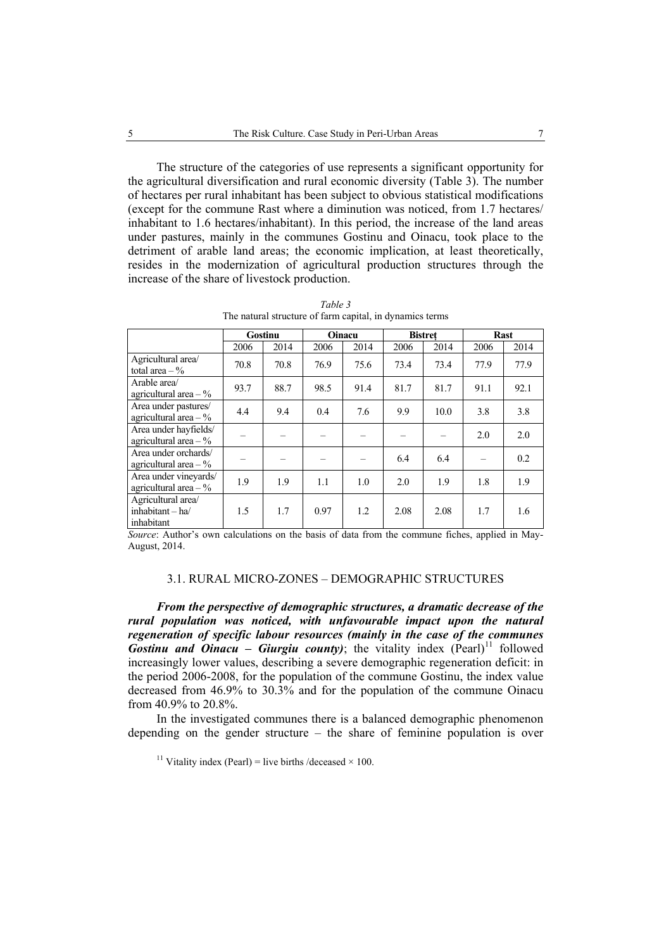The structure of the categories of use represents a significant opportunity for the agricultural diversification and rural economic diversity (Table 3). The number of hectares per rural inhabitant has been subject to obvious statistical modifications (except for the commune Rast where a diminution was noticed, from 1.7 hectares/ inhabitant to 1.6 hectares/inhabitant). In this period, the increase of the land areas under pastures, mainly in the communes Gostinu and Oinacu, took place to the detriment of arable land areas; the economic implication, at least theoretically, resides in the modernization of agricultural production structures through the increase of the share of livestock production.

|                                                        |                      | Gostinu |      | Oinacu                         |              | <b>Bistret</b>        |                 | <b>Rast</b> |
|--------------------------------------------------------|----------------------|---------|------|--------------------------------|--------------|-----------------------|-----------------|-------------|
|                                                        | 2006                 | 2014    | 2006 | 2014                           | 2006         | 2014                  | 2006            | 2014        |
| Agricultural area/<br>total area $-$ %                 | 70.8                 | 70.8    | 76.9 | 75.6                           | 73.4         | 73.4                  | 77.9            | 77.9        |
| Arable area/<br>agricultural area $-$ %                | 93.7                 | 88.7    | 98.5 | 91.4                           | 81.7         | 81.7                  | 91.1            | 92.1        |
| Area under pastures/<br>agricultural area $-$ %        | 4.4                  | 9.4     | 0.4  | 7.6                            | 9.9          | 10.0                  | 3.8             | 3.8         |
| Area under hayfields/<br>agricultural area $-$ %       |                      |         |      |                                |              |                       | 2.0             | 2.0         |
| Area under orchards/<br>agricultural area $-$ %        |                      |         |      |                                | 6.4          | 6.4                   |                 | 0.2         |
| Area under vineyards/<br>agricultural area $-$ %       | 1.9                  | 1.9     | 1.1  | 1.0                            | 2.0          | 1.9                   | 1.8             | 1.9         |
| Agricultural area/<br>inhabitant $-$ ha/<br>inhabitant | 1.5<br>$\sim$ $\sim$ | 1.7     | 0.97 | 1.2<br>$\sim$ $\sim$<br>$\sim$ | 2.08<br>$-1$ | 2.08<br>$\sim$ $\sim$ | 1.7<br>$\cdots$ | 1.6<br>.    |

*Table 3*  The natural structure of farm capital, in dynamics terms

*Source*: Author's own calculations on the basis of data from the commune fiches, applied in May-August, 2014.

#### 3.1. RURAL MICRO-ZONES – DEMOGRAPHIC STRUCTURES

*From the perspective of demographic structures, a dramatic decrease of the rural population was noticed, with unfavourable impact upon the natural regeneration of specific labour resources (mainly in the case of the communes Gostinu and Oinacu – Giurgiu county*); the vitality index (Pearl)<sup>11</sup> followed increasingly lower values, describing a severe demographic regeneration deficit: in the period 2006-2008, for the population of the commune Gostinu, the index value decreased from 46.9% to 30.3% and for the population of the commune Oinacu from 40.9% to 20.8%.

In the investigated communes there is a balanced demographic phenomenon depending on the gender structure – the share of feminine population is over

<sup>11</sup> Vitality index (Pearl) = live births /deceased  $\times$  100.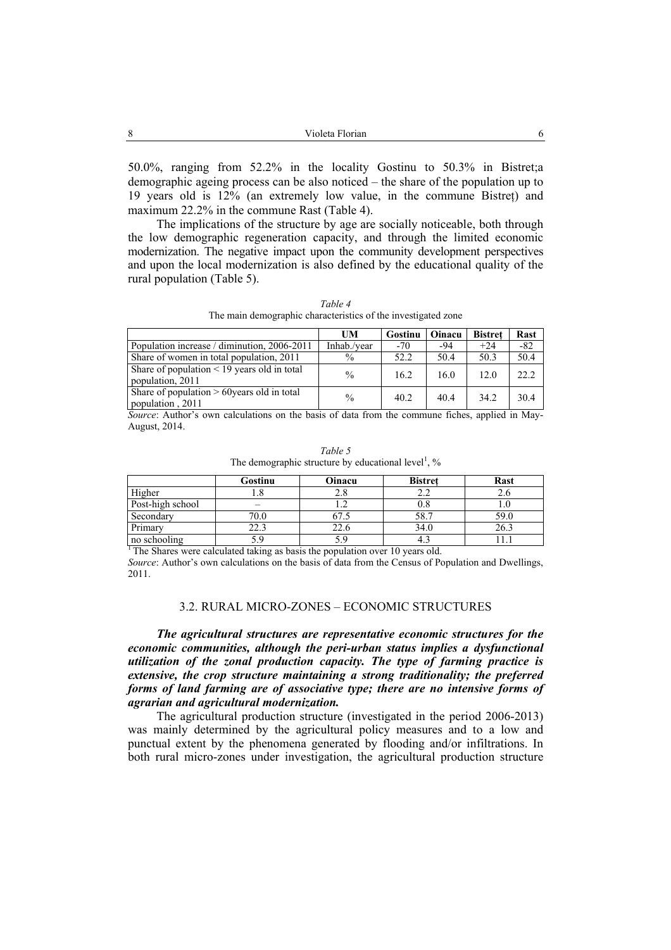50.0%, ranging from 52.2% in the locality Gostinu to 50.3% in Bistret;a demographic ageing process can be also noticed – the share of the population up to 19 years old is 12% (an extremely low value, in the commune Bistreţ) and maximum 22.2% in the commune Rast (Table 4).

The implications of the structure by age are socially noticeable, both through the low demographic regeneration capacity, and through the limited economic modernization. The negative impact upon the community development perspectives and upon the local modernization is also defined by the educational quality of the rural population (Table 5).

*Table 4*  The main demographic characteristics of the investigated zone

|                                                                      | UM            | Gostinu | Oinacu | <b>Bistret</b> | Rast  |
|----------------------------------------------------------------------|---------------|---------|--------|----------------|-------|
| Population increase / diminution, 2006-2011                          | Inhab./year   | $-70$   | -94    | $+24$          | $-82$ |
| Share of women in total population, 2011                             | $\%$          | 52.2    | 50.4   | 50.3           | 50.4  |
| Share of population $\leq$ 19 years old in total<br>population, 2011 | $\frac{0}{0}$ | 16.2    | 16.0   | 12.0           | 22.2  |
| Share of population $> 60$ years old in total<br>population, 2011    | $\%$          | 40.2    | 40.4   | 34.2           | 30.4  |

*Source*: Author's own calculations on the basis of data from the commune fiches, applied in May-August, 2014.

| Table 5                                                            |  |
|--------------------------------------------------------------------|--|
| The demographic structure by educational level <sup>1</sup> , $\%$ |  |

|                  | Gostinu | Oinacu | <b>Bistret</b> | Rast |
|------------------|---------|--------|----------------|------|
| Higher           |         |        |                |      |
| Post-high school |         |        |                |      |
| Secondary        | 70.0    |        |                | 59.C |
| Primary          | 22.3    | 22.6   | 34.C           | 26.3 |
| no schooling     |         |        |                |      |

<sup>1</sup>The Shares were calculated taking as basis the population over 10 years old.

*Source*: Author's own calculations on the basis of data from the Census of Population and Dwellings, 2011.

### 3.2. RURAL MICRO-ZONES – ECONOMIC STRUCTURES

*The agricultural structures are representative economic structures for the economic communities, although the peri-urban status implies a dysfunctional utilization of the zonal production capacity. The type of farming practice is extensive, the crop structure maintaining a strong traditionality; the preferred forms of land farming are of associative type; there are no intensive forms of agrarian and agricultural modernization.*

The agricultural production structure (investigated in the period 2006-2013) was mainly determined by the agricultural policy measures and to a low and punctual extent by the phenomena generated by flooding and/or infiltrations. In both rural micro-zones under investigation, the agricultural production structure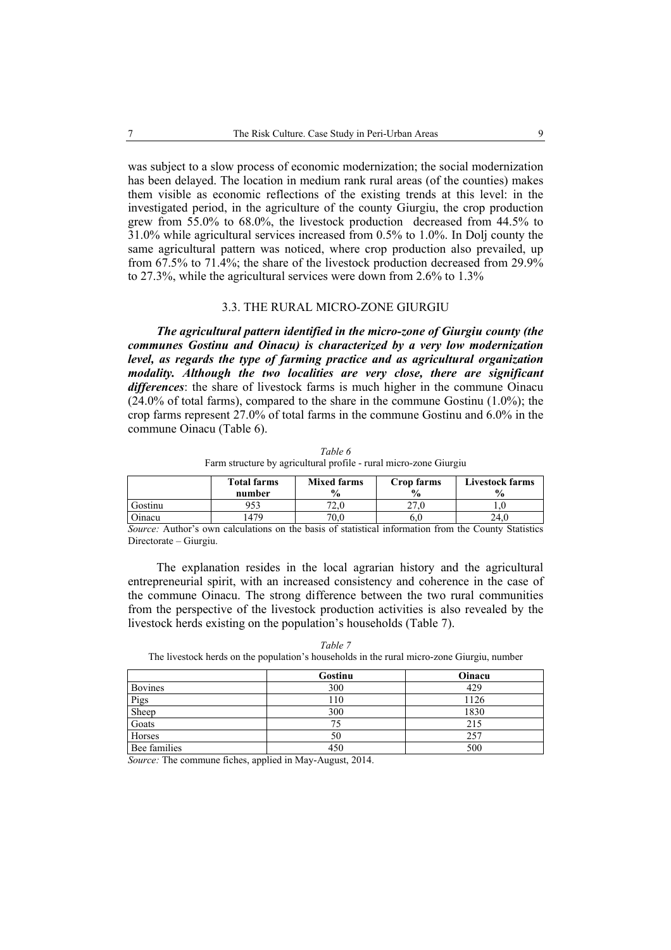was subject to a slow process of economic modernization; the social modernization has been delayed. The location in medium rank rural areas (of the counties) makes them visible as economic reflections of the existing trends at this level: in the investigated period, in the agriculture of the county Giurgiu, the crop production grew from 55.0% to 68.0%, the livestock production decreased from 44.5% to 31.0% while agricultural services increased from 0.5% to 1.0%. In Dolj county the same agricultural pattern was noticed, where crop production also prevailed, up from 67.5% to 71.4%; the share of the livestock production decreased from 29.9% to 27.3%, while the agricultural services were down from 2.6% to 1.3%

#### 3.3. THE RURAL MICRO-ZONE GIURGIU

*The agricultural pattern identified in the micro-zone of Giurgiu county (the communes Gostinu and Oinacu) is characterized by a very low modernization level, as regards the type of farming practice and as agricultural organization modality. Although the two localities are very close, there are significant differences*: the share of livestock farms is much higher in the commune Oinacu  $(24.0\% \text{ of total farms})$ , compared to the share in the commune Gostinu  $(1.0\%)$ ; the crop farms represent 27.0% of total farms in the commune Gostinu and 6.0% in the commune Oinacu (Table 6).

*Table 6*  Farm structure by agricultural profile - rural micro-zone Giurgiu

|               | <b>Total farms</b><br>number | <b>Mixed farms</b><br>$\frac{1}{2}$ | Crop farms<br>$\frac{6}{9}$ | <b>Livestock farms</b><br>$\frac{0}{0}$ |
|---------------|------------------------------|-------------------------------------|-----------------------------|-----------------------------------------|
| Gostinu       | 953                          | 72.0                                | ח הר                        |                                         |
| <b>Dinacu</b> | 479ء                         | 70.0                                | 6.U                         | 24.0                                    |

*Source:* Author's own calculations on the basis of statistical information from the County Statistics Directorate – Giurgiu.

The explanation resides in the local agrarian history and the agricultural entrepreneurial spirit, with an increased consistency and coherence in the case of the commune Oinacu. The strong difference between the two rural communities from the perspective of the livestock production activities is also revealed by the livestock herds existing on the population's households (Table 7).

|                | Gostinu | Oinacu |
|----------------|---------|--------|
| <b>Bovines</b> | 300     | 429    |
| Pigs           | 110     | 1126   |
| Sheep          | 300     | 1830   |
| Goats          | 75      | 215    |
| Horses         | 50      | 257    |
| Bee families   | 450     | 500    |

*Table 7* 

The livestock herds on the population's households in the rural micro-zone Giurgiu, number

*Source:* The commune fiches, applied in May-August, 2014.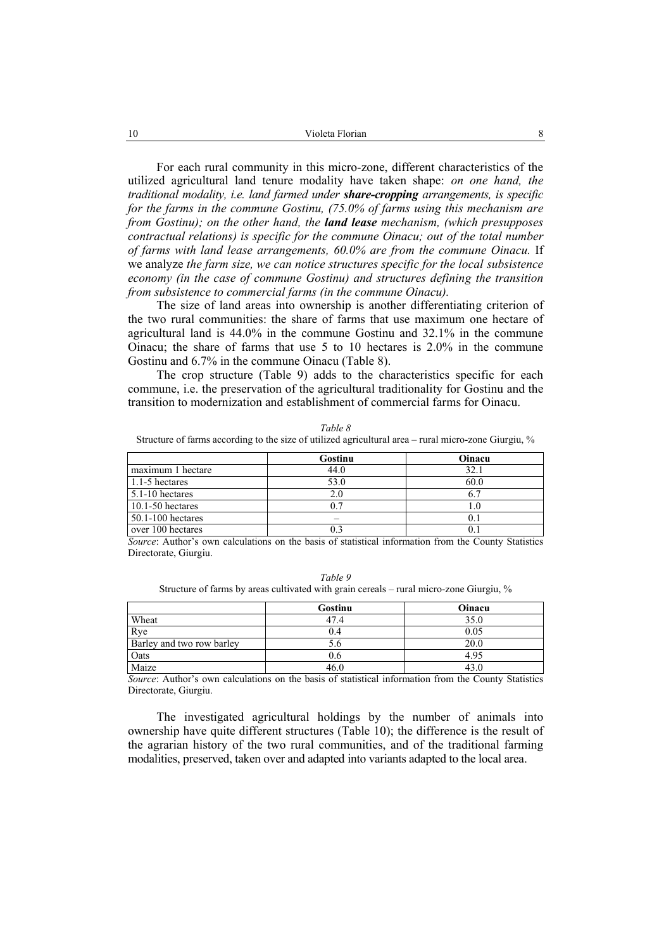For each rural community in this micro-zone, different characteristics of the utilized agricultural land tenure modality have taken shape: *on one hand, the traditional modality, i.e. land farmed under share-cropping arrangements, is specific for the farms in the commune Gostinu, (75.0% of farms using this mechanism are from Gostinu); on the other hand, the land lease mechanism, (which presupposes contractual relations) is specific for the commune Oinacu; out of the total number of farms with land lease arrangements, 60.0% are from the commune Oinacu.* If we analyze *the farm size, we can notice structures specific for the local subsistence economy (in the case of commune Gostinu) and structures defining the transition from subsistence to commercial farms (in the commune Oinacu).* 

The size of land areas into ownership is another differentiating criterion of the two rural communities: the share of farms that use maximum one hectare of agricultural land is 44.0% in the commune Gostinu and 32.1% in the commune Oinacu; the share of farms that use 5 to 10 hectares is 2.0% in the commune Gostinu and 6.7% in the commune Oinacu (Table 8).

The crop structure (Table 9) adds to the characteristics specific for each commune, i.e. the preservation of the agricultural traditionality for Gostinu and the transition to modernization and establishment of commercial farms for Oinacu.

*Table 8*  Structure of farms according to the size of utilized agricultural area – rural micro-zone Giurgiu, %

|                       | Gostinu | Oinacu |
|-----------------------|---------|--------|
| maximum 1 hectare     | 44.0    | 32.1   |
| 1.1-5 hectares        | 53.0    | 60.0   |
| $5.1 - 10$ hectares   | 2.0     | 6.7    |
| $10.1 - 50$ hectares  | ባ 7     |        |
| $50.1 - 100$ hectares |         | 0.1    |
| over 100 hectares     | በ 3     | 01     |

*Source*: Author's own calculations on the basis of statistical information from the County Statistics Directorate, Giurgiu.

| Table 9                                                                                    |
|--------------------------------------------------------------------------------------------|
| Structure of farms by areas cultivated with grain cereals – rural micro-zone Giurgiu, $\%$ |

|                           | Gostinu | Oinacu |
|---------------------------|---------|--------|
| Wheat                     | 47.4    | 35.0   |
| Rye                       |         | 0.05   |
| Barley and two row barley | 2.0     | 20.0   |
| Oats                      |         | 4.95   |
| Maize                     | 46.0    | 43.0   |

*Source*: Author's own calculations on the basis of statistical information from the County Statistics Directorate, Giurgiu.

The investigated agricultural holdings by the number of animals into ownership have quite different structures (Table 10); the difference is the result of the agrarian history of the two rural communities, and of the traditional farming modalities, preserved, taken over and adapted into variants adapted to the local area.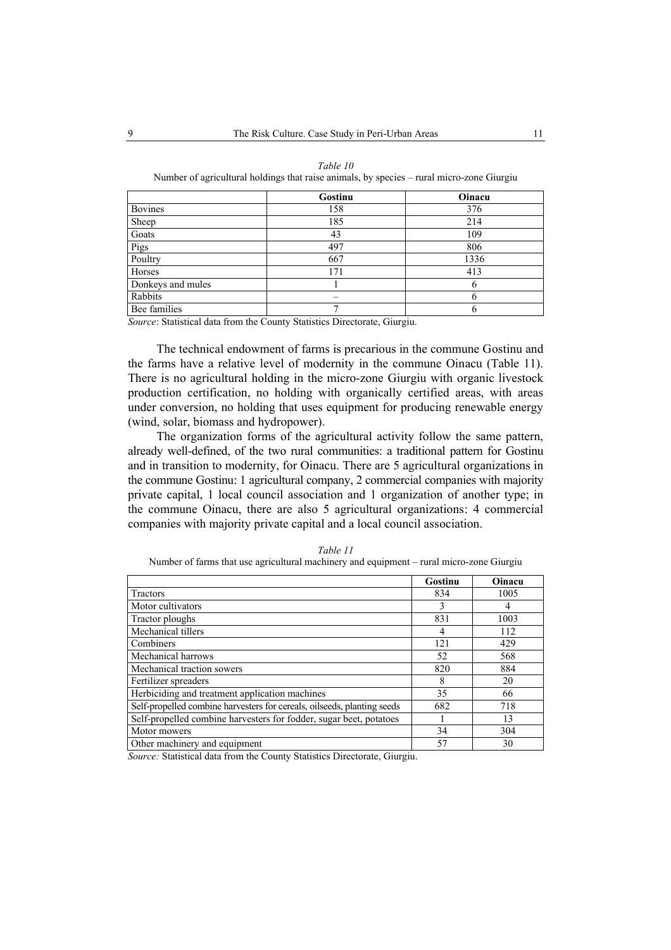|                   | Gostinu | Oinacu |
|-------------------|---------|--------|
| <b>Bovines</b>    | 158     | 376    |
| Sheep             | 185     | 214    |
| Goats             | 43      | 109    |
| Pigs              | 497     | 806    |
| Poultry           | 667     | 1336   |
| Horses            | 171     | 413    |
| Donkeys and mules |         | 6      |
| Rabbits           | -       | b      |
| Bee families      |         | 6      |

| Table 10                                                                                  |  |
|-------------------------------------------------------------------------------------------|--|
| Number of agricultural holdings that raise animals, by species – rural micro-zone Giurgiu |  |

*Source*: Statistical data from the County Statistics Directorate, Giurgiu.

The technical endowment of farms is precarious in the commune Gostinu and the farms have a relative level of modernity in the commune Oinacu (Table 11). There is no agricultural holding in the micro-zone Giurgiu with organic livestock production certification, no holding with organically certified areas, with areas under conversion, no holding that uses equipment for producing renewable energy (wind, solar, biomass and hydropower).

The organization forms of the agricultural activity follow the same pattern, already well-defined, of the two rural communities: a traditional pattern for Gostinu and in transition to modernity, for Oinacu. There are 5 agricultural organizations in the commune Gostinu: 1 agricultural company, 2 commercial companies with majority private capital, 1 local council association and 1 organization of another type; in the commune Oinacu, there are also 5 agricultural organizations: 4 commercial companies with majority private capital and a local council association.

|                                                                         | Gostinu | Oinacu |
|-------------------------------------------------------------------------|---------|--------|
| <b>Tractors</b>                                                         | 834     | 1005   |
| Motor cultivators                                                       | 3       | 4      |
| Tractor ploughs                                                         | 831     | 1003   |
| Mechanical tillers                                                      | 4       | 112    |
| Combiners                                                               | 121     | 429    |
| Mechanical harrows                                                      | 52      | 568    |
| Mechanical traction sowers                                              | 820     | 884    |
| Fertilizer spreaders                                                    | 8       | 20     |
| Herbiciding and treatment application machines                          | 35      | 66     |
| Self-propelled combine harvesters for cereals, oilseeds, planting seeds | 682     | 718    |
| Self-propelled combine harvesters for fodder, sugar beet, potatoes      |         | 13     |
| Motor mowers                                                            | 34      | 304    |
| Other machinery and equipment                                           | 57      | 30     |

*Table 11* 

Number of farms that use agricultural machinery and equipment – rural micro-zone Giurgiu

*Source:* Statistical data from the County Statistics Directorate, Giurgiu.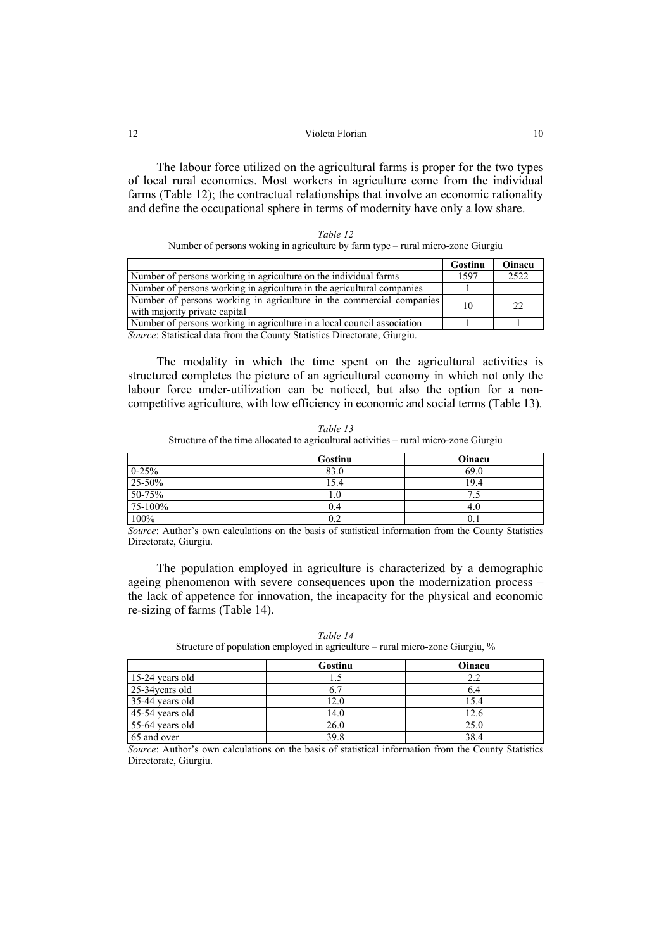| --<br>-- | Violeta Florian | 1 V |
|----------|-----------------|-----|
|          |                 |     |

The labour force utilized on the agricultural farms is proper for the two types of local rural economies. Most workers in agriculture come from the individual farms (Table 12); the contractual relationships that involve an economic rationality and define the occupational sphere in terms of modernity have only a low share.

| Table 12                                                                        |
|---------------------------------------------------------------------------------|
| Number of persons woking in agriculture by farm type – rural micro-zone Giurgiu |

|                                                                                                       | Gostinu | Oinacu |
|-------------------------------------------------------------------------------------------------------|---------|--------|
| Number of persons working in agriculture on the individual farms                                      | 1597    | 2522   |
| Number of persons working in agriculture in the agricultural companies                                |         |        |
| Number of persons working in agriculture in the commercial companies<br>with majority private capital | 10      | 22     |
| Number of persons working in agriculture in a local council association                               |         |        |
| <i>Source:</i> Statistical data from the County Statistics Directorate, Giurgiu.                      |         |        |

The modality in which the time spent on the agricultural activities is structured completes the picture of an agricultural economy in which not only the labour force under-utilization can be noticed, but also the option for a noncompetitive agriculture, with low efficiency in economic and social terms (Table 13)*.*

| Table 13                                                                              |
|---------------------------------------------------------------------------------------|
| Structure of the time allocated to agricultural activities – rural micro-zone Giurgiu |

|                    | Gostinu | Oinacu |
|--------------------|---------|--------|
| $0 - 25\%$         | 83.0    | 69.0   |
| 25-50%             | 15.4    | 19.4   |
| $50 - 75%$         |         |        |
| 75-100%            | 0.4     | 4.U    |
| $10\overline{0\%}$ |         | 0.1    |

*Source*: Author's own calculations on the basis of statistical information from the County Statistics Directorate, Giurgiu.

The population employed in agriculture is characterized by a demographic ageing phenomenon with severe consequences upon the modernization process – the lack of appetence for innovation, the incapacity for the physical and economic re-sizing of farms (Table 14).

|                   | Gostinu | Oinacu |
|-------------------|---------|--------|
| 15-24 years old   |         | 2.2    |
| 25-34 years old   |         | 6.4    |
| 35-44 years old   | 12.0    | 15.4   |
| $45-54$ years old | 14.0    | 12.6   |
| 55-64 years old   | 26.0    | 25.0   |
| 65 and over       | 39.8    | 38.4   |

*Table 14*  Structure of population employed in agriculture – rural micro-zone Giurgiu, %

*Source*: Author's own calculations on the basis of statistical information from the County Statistics Directorate, Giurgiu.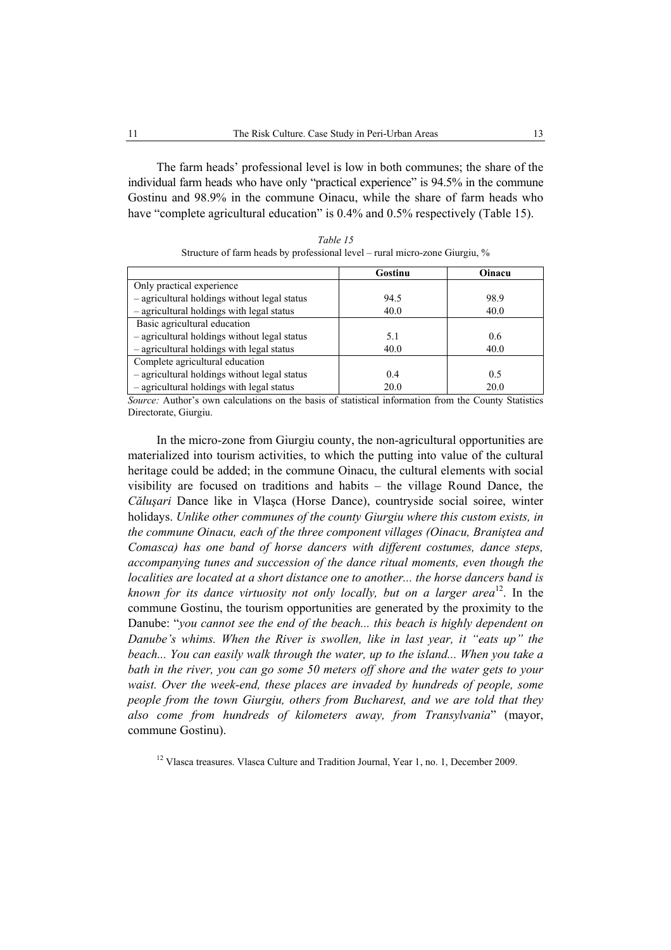The farm heads' professional level is low in both communes; the share of the individual farm heads who have only "practical experience" is 94.5% in the commune Gostinu and 98.9% in the commune Oinacu, while the share of farm heads who have "complete agricultural education" is 0.4% and 0.5% respectively (Table 15).

|                                              | Gostinu | Oinacu |
|----------------------------------------------|---------|--------|
| Only practical experience                    |         |        |
| - agricultural holdings without legal status | 94.5    | 98.9   |
| - agricultural holdings with legal status    | 40.0    | 40.0   |
| Basic agricultural education                 |         |        |
| - agricultural holdings without legal status | 5.1     | 0.6    |
| - agricultural holdings with legal status    | 40.0    | 40.0   |
| Complete agricultural education              |         |        |
| - agricultural holdings without legal status | 0.4     | 0.5    |
| - agricultural holdings with legal status    | 20.0    | 20.0   |

*Table 15*  Structure of farm heads by professional level – rural micro-zone Giurgiu, %

*Source:* Author's own calculations on the basis of statistical information from the County Statistics Directorate, Giurgiu.

In the micro-zone from Giurgiu county, the non-agricultural opportunities are materialized into tourism activities, to which the putting into value of the cultural heritage could be added; in the commune Oinacu, the cultural elements with social visibility are focused on traditions and habits – the village Round Dance, the *Căluşari* Dance like in Vlaşca (Horse Dance), countryside social soiree, winter holidays. *Unlike other communes of the county Giurgiu where this custom exists, in the commune Oinacu, each of the three component villages (Oinacu, Braniştea and Comasca) has one band of horse dancers with different costumes, dance steps, accompanying tunes and succession of the dance ritual moments, even though the localities are located at a short distance one to another... the horse dancers band is known for its dance virtuosity not only locally, but on a larger area* 12. In the commune Gostinu, the tourism opportunities are generated by the proximity to the Danube: "*you cannot see the end of the beach... this beach is highly dependent on Danube's whims. When the River is swollen, like in last year, it "eats up" the beach... You can easily walk through the water, up to the island... When you take a bath in the river, you can go some 50 meters off shore and the water gets to your waist. Over the week-end, these places are invaded by hundreds of people, some people from the town Giurgiu, others from Bucharest, and we are told that they also come from hundreds of kilometers away, from Transylvania*" (mayor, commune Gostinu).

<sup>12</sup> Vlasca treasures. Vlasca Culture and Tradition Journal, Year 1, no. 1, December 2009.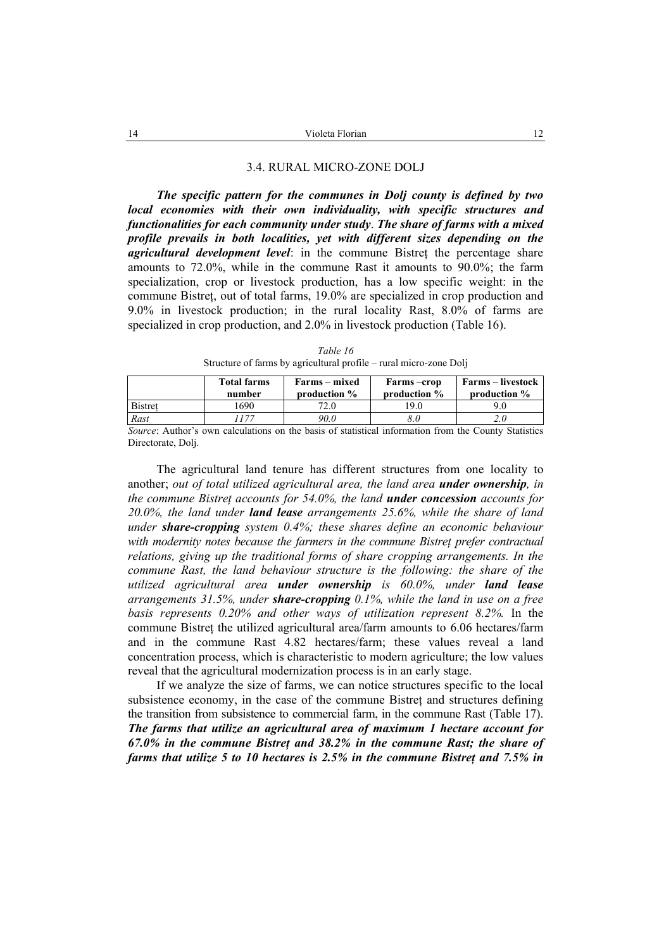#### 3.4. RURAL MICRO-ZONE DOLJ

*The specific pattern for the communes in Dolj county is defined by two local economies with their own individuality, with specific structures and functionalities for each community under study*. *The share of farms with a mixed profile prevails in both localities, yet with different sizes depending on the agricultural development level*: in the commune Bistret the percentage share amounts to 72.0%, while in the commune Rast it amounts to 90.0%; the farm specialization, crop or livestock production, has a low specific weight: in the commune Bistreţ, out of total farms, 19.0% are specialized in crop production and 9.0% in livestock production; in the rural locality Rast, 8.0% of farms are specialized in crop production, and 2.0% in livestock production (Table 16).

| Structure of farms by agricultural profile – rural micro-zone Doli |                              |                                  |                            |                                          |
|--------------------------------------------------------------------|------------------------------|----------------------------------|----------------------------|------------------------------------------|
|                                                                    | <b>Total farms</b><br>number | Farms – mixed<br>production $\%$ | Farms-crop<br>production % | <b>Farms – livestock</b><br>production % |
| Bistret                                                            | 690                          | 72.0                             | 19.0                       | 9.0                                      |

*Rast 1177 90.0 8.0 2.0* 

*Table 16*  Structure of farms by agricultural profile – rural micro-zone Dolj

*Source*: Author's own calculations on the basis of statistical information from the County Statistics Directorate, Dolj.

The agricultural land tenure has different structures from one locality to another; *out of total utilized agricultural area, the land area under ownership, in the commune Bistreţ accounts for 54.0%, the land under concession accounts for 20.0%, the land under land lease arrangements 25.6%, while the share of land under share-cropping system 0.4%; these shares define an economic behaviour with modernity notes because the farmers in the commune Bistreţ prefer contractual relations, giving up the traditional forms of share cropping arrangements. In the commune Rast, the land behaviour structure is the following: the share of the utilized agricultural area under ownership is 60.0%, under land lease arrangements 31.5%, under share-cropping 0.1%, while the land in use on a free basis represents 0.20% and other ways of utilization represent 8.2%.* In the commune Bistreţ the utilized agricultural area/farm amounts to 6.06 hectares/farm and in the commune Rast 4.82 hectares/farm; these values reveal a land concentration process, which is characteristic to modern agriculture; the low values reveal that the agricultural modernization process is in an early stage.

If we analyze the size of farms, we can notice structures specific to the local subsistence economy, in the case of the commune Bistret and structures defining the transition from subsistence to commercial farm, in the commune Rast (Table 17). *The farms that utilize an agricultural area of maximum 1 hectare account for 67.0% in the commune Bistreţ and 38.2% in the commune Rast; the share of farms that utilize 5 to 10 hectares is 2.5% in the commune Bistreţ and 7.5% in*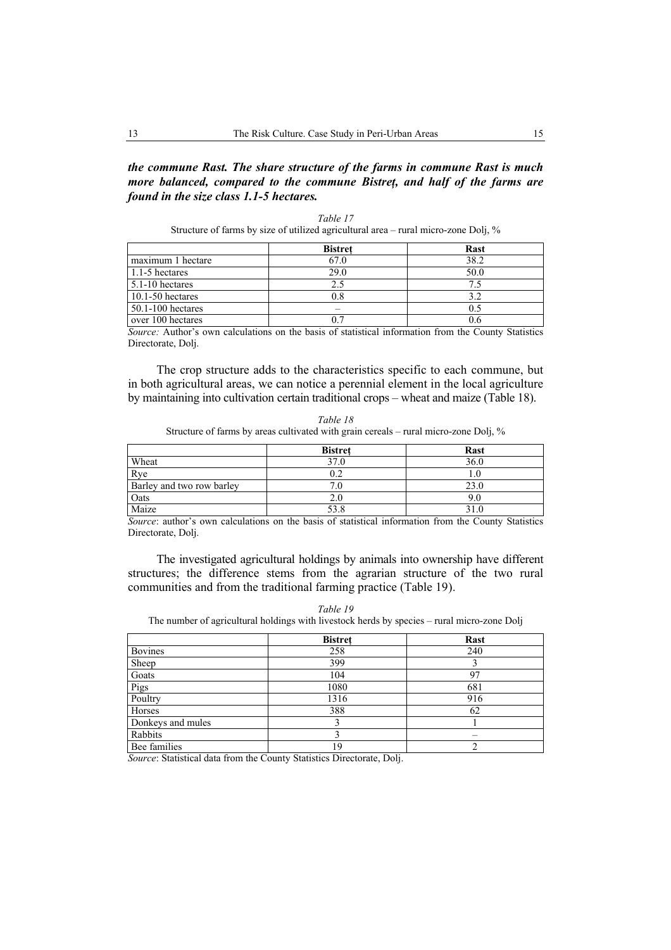### *the commune Rast. The share structure of the farms in commune Rast is much more balanced, compared to the commune Bistreţ, and half of the farms are found in the size class 1.1-5 hectares.*

| Structure of farms by size of utilized agricultural area – rural micro-zone Doli, % |     |     |  |  |
|-------------------------------------------------------------------------------------|-----|-----|--|--|
| <b>Bistret</b><br>Rast                                                              |     |     |  |  |
| imwaa 1 hooteno                                                                     | 670 | 202 |  |  |

*Table 17* 

|                       | distret | rast |
|-----------------------|---------|------|
| maximum 1 hectare     | 57.0    | 38.2 |
| 1.1-5 hectares        | 29.0    | 50.0 |
| $5.1 - 10$ hectares   |         |      |
| $10.1 - 50$ hectares  | ).8     |      |
| $50.1 - 100$ hectares |         |      |
| over 100 hectares     |         | U.O  |

*Source:* Author's own calculations on the basis of statistical information from the County Statistics Directorate, Dolj.

The crop structure adds to the characteristics specific to each commune, but in both agricultural areas, we can notice a perennial element in the local agriculture by maintaining into cultivation certain traditional crops – wheat and maize (Table 18).

*Table 18*  Structure of farms by areas cultivated with grain cereals – rural micro-zone Dolj, %

|                           | <b>Bistret</b> | <b>Rast</b> |
|---------------------------|----------------|-------------|
| Wheat                     | 37.0           | 36.0        |
| Rye                       |                |             |
| Barley and two row barley |                | 23.0        |
| Oats                      | 2.0            | 9.0         |
| Maize                     | 53.8           |             |

*Source*: author's own calculations on the basis of statistical information from the County Statistics Directorate, Dolj.

The investigated agricultural holdings by animals into ownership have different structures; the difference stems from the agrarian structure of the two rural communities and from the traditional farming practice (Table 19).

*Table 19*  The number of agricultural holdings with livestock herds by species – rural micro-zone Dolj

|                   | <b>Bistret</b> | Rast |
|-------------------|----------------|------|
| <b>Bovines</b>    | 258            | 240  |
| Sheep             | 399            |      |
| Goats             | 104            | 97   |
| Pigs              | 1080           | 681  |
| Poultry           | 1316           | 916  |
| Horses            | 388            | 62   |
| Donkeys and mules |                |      |
| Rabbits           |                |      |
| Bee families      | 19             |      |

*Source*: Statistical data from the County Statistics Directorate, Dolj.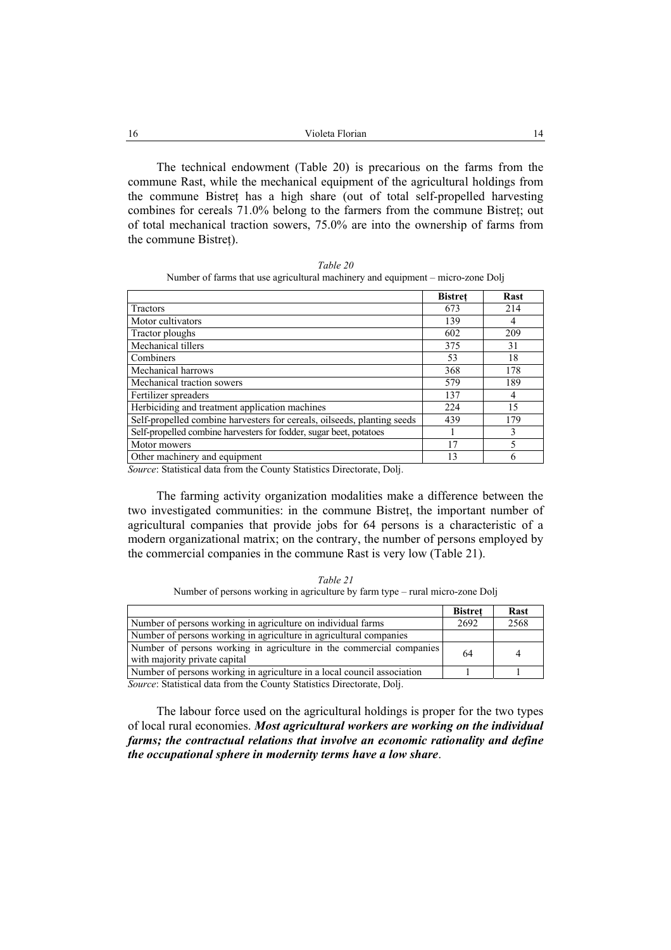| -16 | Violeta Florian                                                                |  |  |
|-----|--------------------------------------------------------------------------------|--|--|
|     |                                                                                |  |  |
|     | The technical endowment (Table 20) is precarious on the farms from the         |  |  |
|     | commune Rast, while the mechanical equipment of the agricultural holdings from |  |  |

commune Rast, while the mechanical equipment of the agricultural holdings from the commune Bistreţ has a high share (out of total self-propelled harvesting combines for cereals 71.0% belong to the farmers from the commune Bistreţ; out of total mechanical traction sowers, 75.0% are into the ownership of farms from the commune Bistreţ).

*Table 20*  Number of farms that use agricultural machinery and equipment – micro-zone Dolj

|                                                                         | <b>Bistret</b> | <b>Rast</b> |
|-------------------------------------------------------------------------|----------------|-------------|
| Tractors                                                                | 673            | 214         |
| Motor cultivators                                                       | 139            |             |
| Tractor ploughs                                                         | 602            | 209         |
| Mechanical tillers                                                      | 375            | 31          |
| Combiners                                                               | 53             | 18          |
| Mechanical harrows                                                      | 368            | 178         |
| Mechanical traction sowers                                              | 579            | 189         |
| Fertilizer spreaders                                                    | 137            |             |
| Herbiciding and treatment application machines                          | 224            | 15          |
| Self-propelled combine harvesters for cereals, oilseeds, planting seeds | 439            | 179         |
| Self-propelled combine harvesters for fodder, sugar beet, potatoes      |                | 3           |
| Motor mowers                                                            | 17             |             |
| Other machinery and equipment                                           | 13             |             |

*Source*: Statistical data from the County Statistics Directorate, Dolj.

The farming activity organization modalities make a difference between the two investigated communities: in the commune Bistreţ, the important number of agricultural companies that provide jobs for 64 persons is a characteristic of a modern organizational matrix; on the contrary, the number of persons employed by the commercial companies in the commune Rast is very low (Table 21).

*Table 21*  Number of persons working in agriculture by farm type – rural micro-zone Dolj

|                                                                                                       | <b>Bistret</b> | Rast |
|-------------------------------------------------------------------------------------------------------|----------------|------|
| Number of persons working in agriculture on individual farms                                          | 2692           | 2568 |
| Number of persons working in agriculture in agricultural companies                                    |                |      |
| Number of persons working in agriculture in the commercial companies<br>with majority private capital | 64             |      |
| Number of persons working in agriculture in a local council association                               |                |      |

*Source*: Statistical data from the County Statistics Directorate, Dolj.

The labour force used on the agricultural holdings is proper for the two types of local rural economies. *Most agricultural workers are working on the individual farms; the contractual relations that involve an economic rationality and define the occupational sphere in modernity terms have a low share*.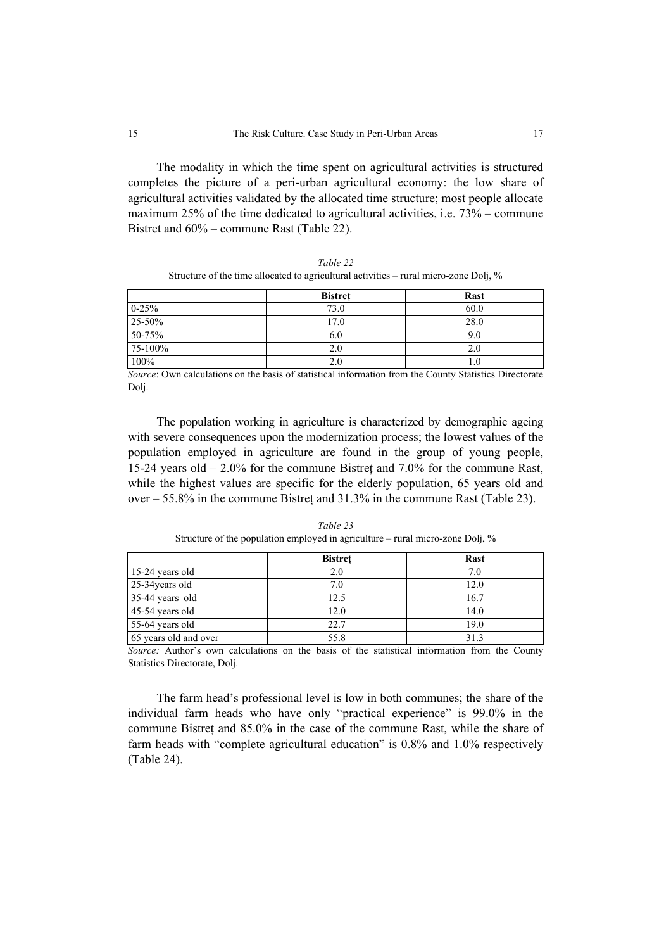The modality in which the time spent on agricultural activities is structured completes the picture of a peri-urban agricultural economy: the low share of agricultural activities validated by the allocated time structure; most people allocate maximum 25% of the time dedicated to agricultural activities, i.e. 73% – commune Bistret and 60% – commune Rast (Table 22).

| Table 22                                                                                 |
|------------------------------------------------------------------------------------------|
| Structure of the time allocated to agricultural activities – rural micro-zone Doli, $\%$ |

|                          | <b>Bistret</b> | <b>Rast</b> |
|--------------------------|----------------|-------------|
| $\frac{0-25\%}{25-50\%}$ | 73.0           | 60.0        |
|                          | 17.0           | 28.0        |
| $50 - 75%$               | 6.0            | 9.0         |
| 75-100%                  | 2.0            | 2.0         |
| 100%                     | 2.0            |             |

*Source*: Own calculations on the basis of statistical information from the County Statistics Directorate Dolj.

The population working in agriculture is characterized by demographic ageing with severe consequences upon the modernization process; the lowest values of the population employed in agriculture are found in the group of young people, 15-24 years old – 2.0% for the commune Bistreţ and 7.0% for the commune Rast, while the highest values are specific for the elderly population, 65 years old and over – 55.8% in the commune Bistreţ and 31.3% in the commune Rast (Table 23).

|                       | <b>Bistret</b> | <b>Rast</b> |
|-----------------------|----------------|-------------|
| 15-24 years old       | 2.0            | 7.0         |
| 25-34 years old       | 7.0            | 12.0        |
| 35-44 years old       | 12.5           | 16.7        |
| 45-54 years old       | 12.0           | 14.0        |
| 55-64 years old       | 22.7           | 19.0        |
| 65 years old and over | 55.8           | 31.3        |

*Table 23*  Structure of the population employed in agriculture – rural micro-zone Dolj, %

*Source:* Author's own calculations on the basis of the statistical information from the County Statistics Directorate, Dolj.

The farm head's professional level is low in both communes; the share of the individual farm heads who have only "practical experience" is 99.0% in the commune Bistreţ and 85.0% in the case of the commune Rast, while the share of farm heads with "complete agricultural education" is 0.8% and 1.0% respectively (Table 24).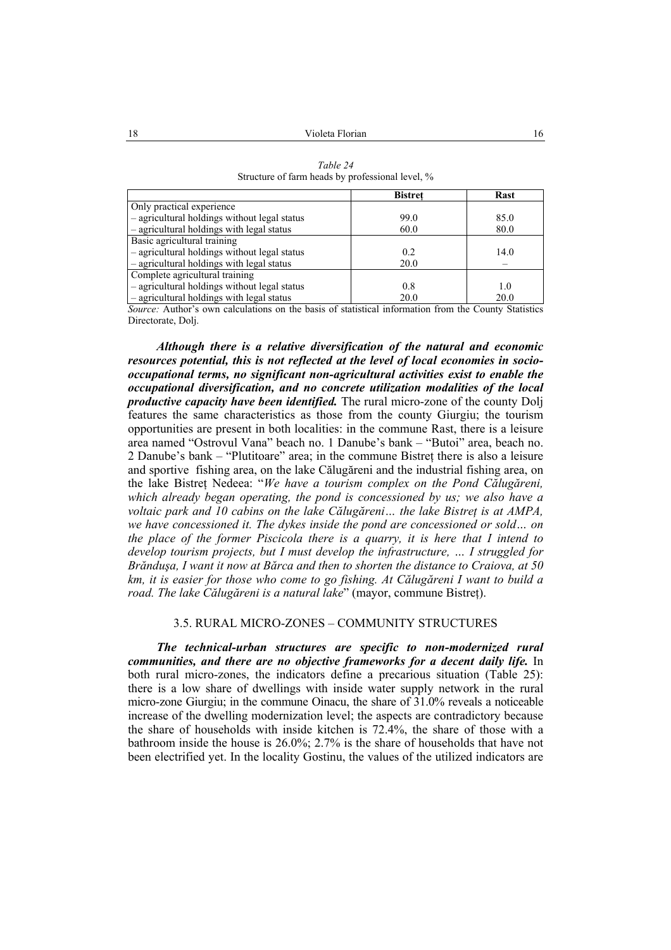|                                              | <b>Bistret</b> | Rast |
|----------------------------------------------|----------------|------|
| Only practical experience                    |                |      |
| - agricultural holdings without legal status | 99.0           | 85.0 |
| - agricultural holdings with legal status    | 60.0           | 80.0 |
| Basic agricultural training                  |                |      |
| - agricultural holdings without legal status | 0.2            | 14.0 |
| - agricultural holdings with legal status    | 20.0           |      |
| Complete agricultural training               |                |      |
| - agricultural holdings without legal status | 0.8            | 1.0  |
| - agricultural holdings with legal status    | 20.0           | 20.0 |

*Table 24*  Structure of farm heads by professional level, %

*Source:* Author's own calculations on the basis of statistical information from the County Statistics Directorate, Dolj.

*Although there is a relative diversification of the natural and economic resources potential, this is not reflected at the level of local economies in sociooccupational terms, no significant non-agricultural activities exist to enable the occupational diversification, and no concrete utilization modalities of the local productive capacity have been identified.* The rural micro-zone of the county Dolj features the same characteristics as those from the county Giurgiu; the tourism opportunities are present in both localities: in the commune Rast, there is a leisure area named "Ostrovul Vana" beach no. 1 Danube's bank – "Butoi" area, beach no. 2 Danube's bank – "Plutitoare" area; in the commune Bistreţ there is also a leisure and sportive fishing area, on the lake Călugăreni and the industrial fishing area, on the lake Bistreţ Nedeea: "*We have a tourism complex on the Pond Călugăreni, which already began operating, the pond is concessioned by us; we also have a voltaic park and 10 cabins on the lake Călugăreni… the lake Bistreţ is at AMPA, we have concessioned it. The dykes inside the pond are concessioned or sold… on the place of the former Piscicola there is a quarry, it is here that I intend to develop tourism projects, but I must develop the infrastructure, … I struggled for Brănduşa, I want it now at Bărca and then to shorten the distance to Craiova, at 50 km, it is easier for those who come to go fishing. At Călugăreni I want to build a road. The lake Călugăreni is a natural lake*" (mayor, commune Bistreţ).

#### 3.5. RURAL MICRO-ZONES – COMMUNITY STRUCTURES

*The technical-urban structures are specific to non-modernized rural communities, and there are no objective frameworks for a decent daily life.* In both rural micro-zones, the indicators define a precarious situation (Table 25): there is a low share of dwellings with inside water supply network in the rural micro-zone Giurgiu; in the commune Oinacu, the share of 31.0% reveals a noticeable increase of the dwelling modernization level; the aspects are contradictory because the share of households with inside kitchen is 72.4%, the share of those with a bathroom inside the house is 26.0%; 2.7% is the share of households that have not been electrified yet. In the locality Gostinu, the values of the utilized indicators are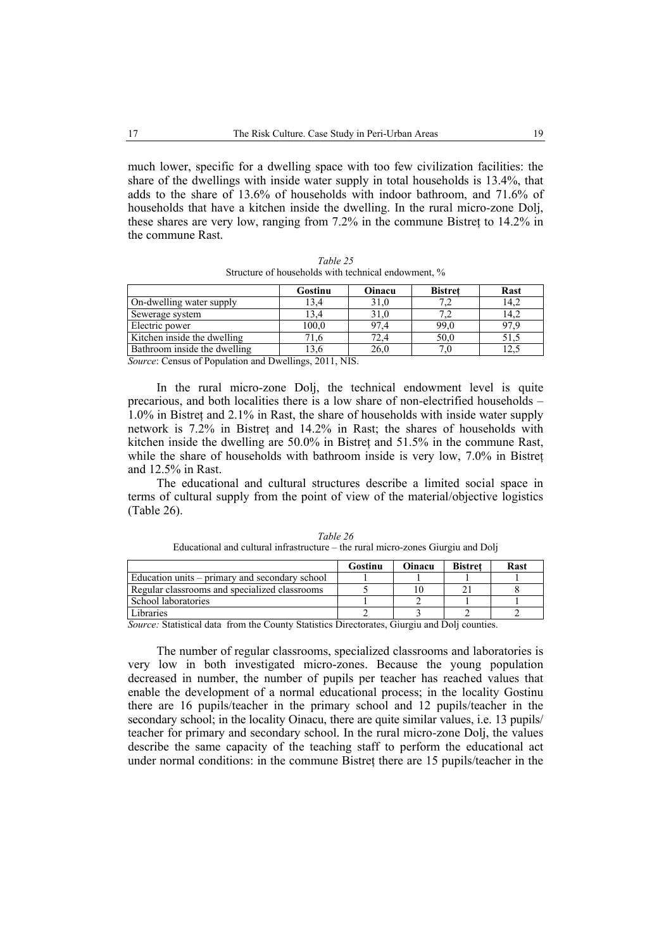much lower, specific for a dwelling space with too few civilization facilities: the share of the dwellings with inside water supply in total households is 13.4%, that adds to the share of 13.6% of households with indoor bathroom, and 71.6% of households that have a kitchen inside the dwelling. In the rural micro-zone Dolj, these shares are very low, ranging from  $7.2\%$  in the commune Bistret to  $14.2\%$  in the commune Rast.

| Gostinu | Oinacu | <b>Bistret</b> | <b>Rast</b> |
|---------|--------|----------------|-------------|
| 13.4    | 31,0   |                | 14.2        |
| 13.4    | 31.0   |                | 14.2        |
| 100,0   | 97.4   | 99,0           | 97.9        |
| 1.6     | 72.4   | 50,0           | 51.5        |
|         | 26.0   |                |             |
|         |        |                |             |

*Table 25*  Structure of households with technical endowment, %

*Source*: Census of Population and Dwellings, 2011, NIS.

In the rural micro-zone Dolj, the technical endowment level is quite precarious, and both localities there is a low share of non-electrified households – 1.0% in Bistreţ and 2.1% in Rast, the share of households with inside water supply network is 7.2% in Bistreţ and 14.2% in Rast; the shares of households with kitchen inside the dwelling are 50.0% in Bistreţ and 51.5% in the commune Rast, while the share of households with bathroom inside is very low, 7.0% in Bistreţ and 12.5% in Rast.

The educational and cultural structures describe a limited social space in terms of cultural supply from the point of view of the material/objective logistics (Table 26).

|                                                | Gostinu | Oinacu | <b>Bistret</b> | Rast |
|------------------------------------------------|---------|--------|----------------|------|
| Education units – primary and secondary school |         |        |                |      |
| Regular classrooms and specialized classrooms  |         |        |                |      |
| School laboratories                            |         |        |                |      |
| Libraries                                      |         |        |                |      |

*Table 26*  Educational and cultural infrastructure – the rural micro-zones Giurgiu and Dolj

*Source:* Statistical data from the County Statistics Directorates, Giurgiu and Dolj counties.

The number of regular classrooms, specialized classrooms and laboratories is very low in both investigated micro-zones. Because the young population decreased in number, the number of pupils per teacher has reached values that enable the development of a normal educational process; in the locality Gostinu there are 16 pupils/teacher in the primary school and 12 pupils/teacher in the secondary school; in the locality Oinacu, there are quite similar values, i.e. 13 pupils/ teacher for primary and secondary school. In the rural micro-zone Dolj, the values describe the same capacity of the teaching staff to perform the educational act under normal conditions: in the commune Bistreţ there are 15 pupils/teacher in the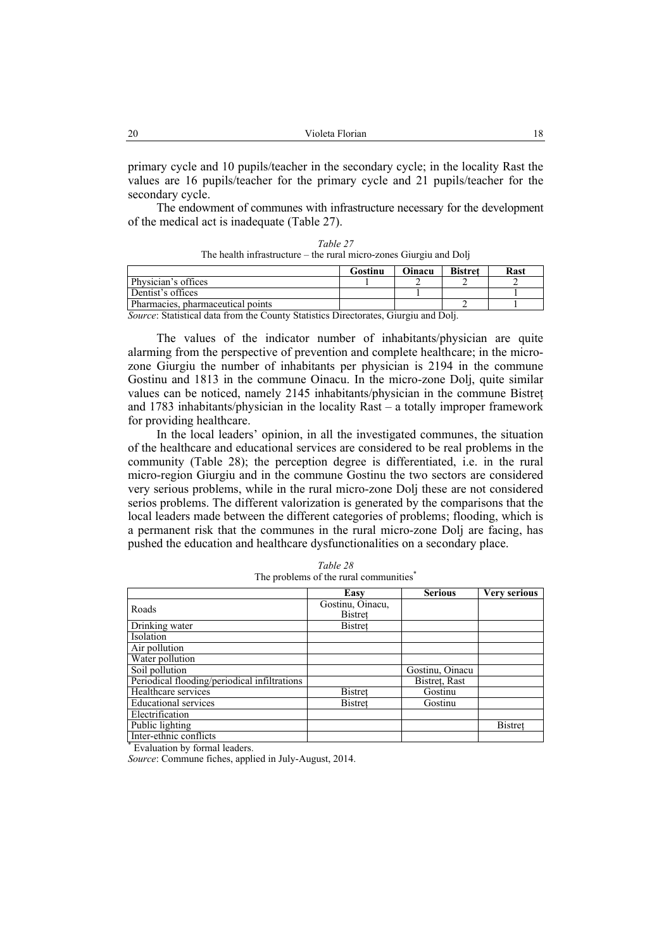| 20<br>Violeta Florian |
|-----------------------|
|-----------------------|

primary cycle and 10 pupils/teacher in the secondary cycle; in the locality Rast the values are 16 pupils/teacher for the primary cycle and 21 pupils/teacher for the secondary cycle.

The endowment of communes with infrastructure necessary for the development of the medical act is inadequate (Table 27).

| Table 27                                                           |
|--------------------------------------------------------------------|
| The health infrastructure – the rural micro-zones Giurgiu and Doli |

|                                                                                    | Gostinu | Oinacu | <b>Bistret</b> | Rast |
|------------------------------------------------------------------------------------|---------|--------|----------------|------|
| Physician's offices                                                                |         |        |                |      |
| Dentist's offices                                                                  |         |        |                |      |
| Pharmacies, pharmaceutical points                                                  |         |        |                |      |
| Course: Statistical data from the County Statistics Directorates, Guirgiu and Doli |         |        |                |      |

*Source*: Statistical data from the County Statistics Directorates, Giurgiu and Dolj.

The values of the indicator number of inhabitants/physician are quite alarming from the perspective of prevention and complete healthcare; in the microzone Giurgiu the number of inhabitants per physician is 2194 in the commune Gostinu and 1813 in the commune Oinacu. In the micro-zone Dolj, quite similar values can be noticed, namely 2145 inhabitants/physician in the commune Bistreţ and 1783 inhabitants/physician in the locality Rast – a totally improper framework for providing healthcare.

In the local leaders' opinion, in all the investigated communes, the situation of the healthcare and educational services are considered to be real problems in the community (Table 28); the perception degree is differentiated, i.e. in the rural micro-region Giurgiu and in the commune Gostinu the two sectors are considered very serious problems, while in the rural micro-zone Dolj these are not considered serios problems. The different valorization is generated by the comparisons that the local leaders made between the different categories of problems; flooding, which is a permanent risk that the communes in the rural micro-zone Dolj are facing, has pushed the education and healthcare dysfunctionalities on a secondary place.

|                                              | Easy             | <b>Serious</b>  | <b>Very serious</b> |
|----------------------------------------------|------------------|-----------------|---------------------|
| Roads                                        | Gostinu, Oinacu, |                 |                     |
|                                              | <b>Bistret</b>   |                 |                     |
| Drinking water                               | <b>Bistret</b>   |                 |                     |
| Isolation                                    |                  |                 |                     |
| Air pollution                                |                  |                 |                     |
| Water pollution                              |                  |                 |                     |
| Soil pollution                               |                  | Gostinu, Oinacu |                     |
| Periodical flooding/periodical infiltrations |                  | Bistret, Rast   |                     |
| Healthcare services                          | <b>Bistret</b>   | Gostinu         |                     |
| <b>Educational services</b>                  | <b>Bistret</b>   | Gostinu         |                     |
| Electrification                              |                  |                 |                     |
| Public lighting                              |                  |                 | <b>Bistret</b>      |
| Inter-ethnic conflicts                       |                  |                 |                     |
| Evaluation by formal leaders.                |                  |                 |                     |

*Table 28*  The problems of the rural communities<sup>\*</sup>

*Source*: Commune fiches, applied in July-August, 2014.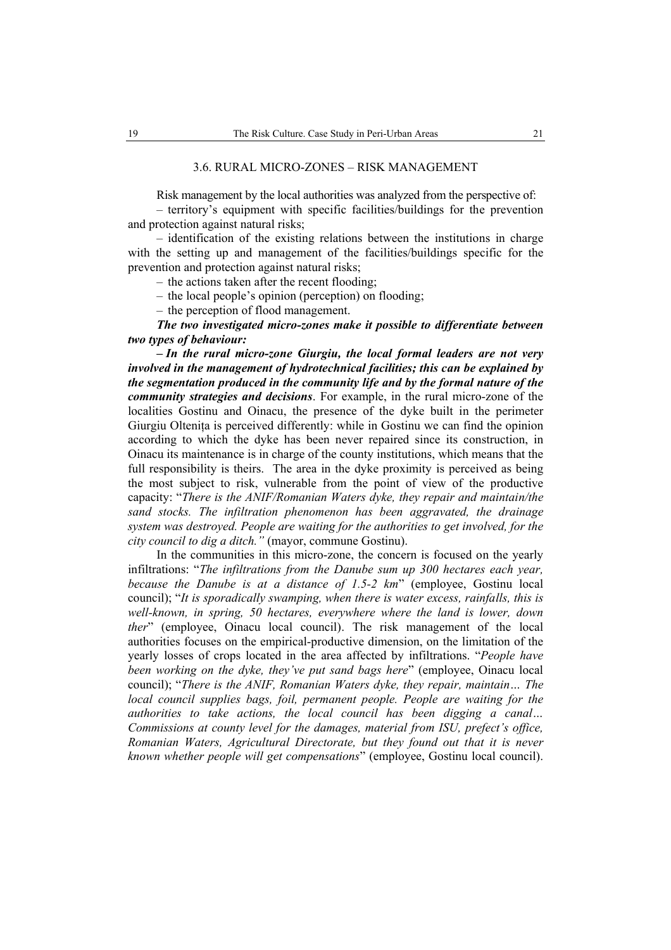#### 3.6. RURAL MICRO-ZONES – RISK MANAGEMENT

Risk management by the local authorities was analyzed from the perspective of:

– territory's equipment with specific facilities/buildings for the prevention and protection against natural risks;

– identification of the existing relations between the institutions in charge with the setting up and management of the facilities/buildings specific for the prevention and protection against natural risks;

– the actions taken after the recent flooding;

– the local people's opinion (perception) on flooding;

– the perception of flood management.

*The two investigated micro-zones make it possible to differentiate between two types of behaviour:* 

*– In the rural micro-zone Giurgiu, the local formal leaders are not very involved in the management of hydrotechnical facilities; this can be explained by the segmentation produced in the community life and by the formal nature of the community strategies and decisions*. For example, in the rural micro-zone of the localities Gostinu and Oinacu, the presence of the dyke built in the perimeter Giurgiu Olteniţa is perceived differently: while in Gostinu we can find the opinion according to which the dyke has been never repaired since its construction, in Oinacu its maintenance is in charge of the county institutions, which means that the full responsibility is theirs. The area in the dyke proximity is perceived as being the most subject to risk, vulnerable from the point of view of the productive capacity: "*There is the ANIF/Romanian Waters dyke, they repair and maintain/the sand stocks. The infiltration phenomenon has been aggravated, the drainage system was destroyed. People are waiting for the authorities to get involved, for the city council to dig a ditch."* (mayor, commune Gostinu).

In the communities in this micro-zone, the concern is focused on the yearly infiltrations: "*The infiltrations from the Danube sum up 300 hectares each year, because the Danube is at a distance of 1.5-2 km*" (employee, Gostinu local council); "*It is sporadically swamping, when there is water excess, rainfalls, this is well-known, in spring, 50 hectares, everywhere where the land is lower, down ther*" (employee, Oinacu local council). The risk management of the local authorities focuses on the empirical-productive dimension, on the limitation of the yearly losses of crops located in the area affected by infiltrations. "*People have been working on the dyke, they've put sand bags here*" (employee, Oinacu local council); "*There is the ANIF, Romanian Waters dyke, they repair, maintain… The local council supplies bags, foil, permanent people. People are waiting for the authorities to take actions, the local council has been digging a canal… Commissions at county level for the damages, material from ISU, prefect's office, Romanian Waters, Agricultural Directorate, but they found out that it is never known whether people will get compensations*" (employee, Gostinu local council).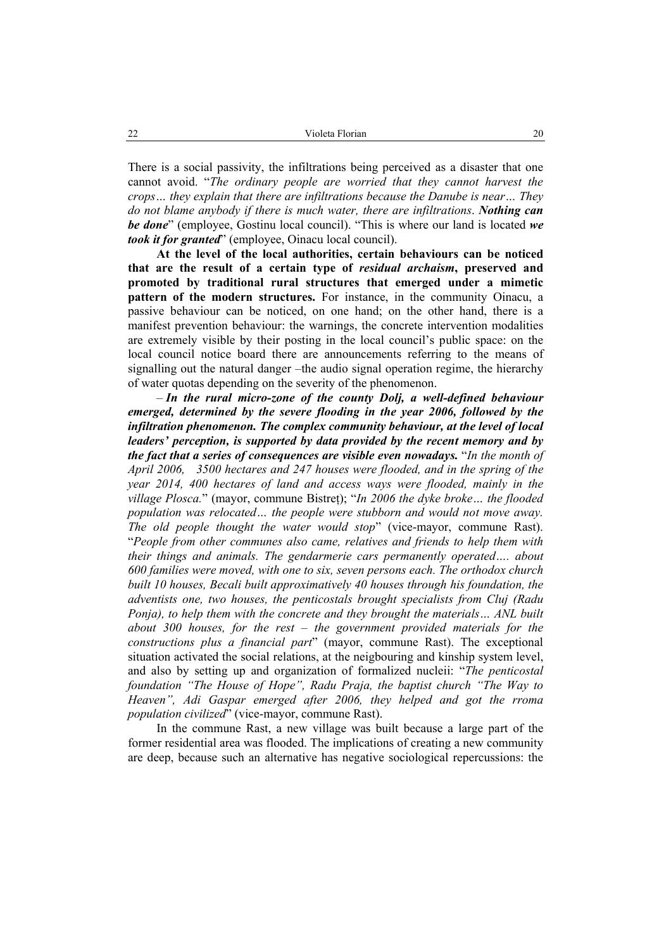There is a social passivity, the infiltrations being perceived as a disaster that one cannot avoid. "*The ordinary people are worried that they cannot harvest the crops… they explain that there are infiltrations because the Danube is near… They do not blame anybody if there is much water, there are infiltrations*. *Nothing can be done*" (employee, Gostinu local council). "This is where our land is located *we took it for granted*" (employee, Oinacu local council).

**At the level of the local authorities, certain behaviours can be noticed that are the result of a certain type of** *residual archaism***, preserved and promoted by traditional rural structures that emerged under a mimetic pattern of the modern structures.** For instance, in the community Oinacu, a passive behaviour can be noticed, on one hand; on the other hand, there is a manifest prevention behaviour: the warnings, the concrete intervention modalities are extremely visible by their posting in the local council's public space: on the local council notice board there are announcements referring to the means of signalling out the natural danger –the audio signal operation regime, the hierarchy of water quotas depending on the severity of the phenomenon.

– *In the rural micro-zone of the county Dolj, a well-defined behaviour emerged, determined by the severe flooding in the year 2006, followed by the infiltration phenomenon. The complex community behaviour, at the level of local leaders' perception, is supported by data provided by the recent memory and by the fact that a series of consequences are visible even nowadays.* "*In the month of April 2006, 3500 hectares and 247 houses were flooded, and in the spring of the year 2014, 400 hectares of land and access ways were flooded, mainly in the village Plosca.*" (mayor, commune Bistreţ); "*In 2006 the dyke broke… the flooded population was relocated… the people were stubborn and would not move away. The old people thought the water would stop*" (vice-mayor, commune Rast). "*People from other communes also came, relatives and friends to help them with their things and animals. The gendarmerie cars permanently operated…. about 600 families were moved, with one to six, seven persons each. The orthodox church built 10 houses, Becali built approximatively 40 houses through his foundation, the adventists one, two houses, the penticostals brought specialists from Cluj (Radu Ponja), to help them with the concrete and they brought the materials... ANL built about 300 houses, for the rest – the government provided materials for the constructions plus a financial part*" (mayor, commune Rast). The exceptional situation activated the social relations, at the neigbouring and kinship system level, and also by setting up and organization of formalized nucleii: "*The penticostal foundation "The House of Hope", Radu Praja, the baptist church "The Way to Heaven", Adi Gaspar emerged after 2006, they helped and got the rroma population civilized*" (vice-mayor, commune Rast).

In the commune Rast, a new village was built because a large part of the former residential area was flooded. The implications of creating a new community are deep, because such an alternative has negative sociological repercussions: the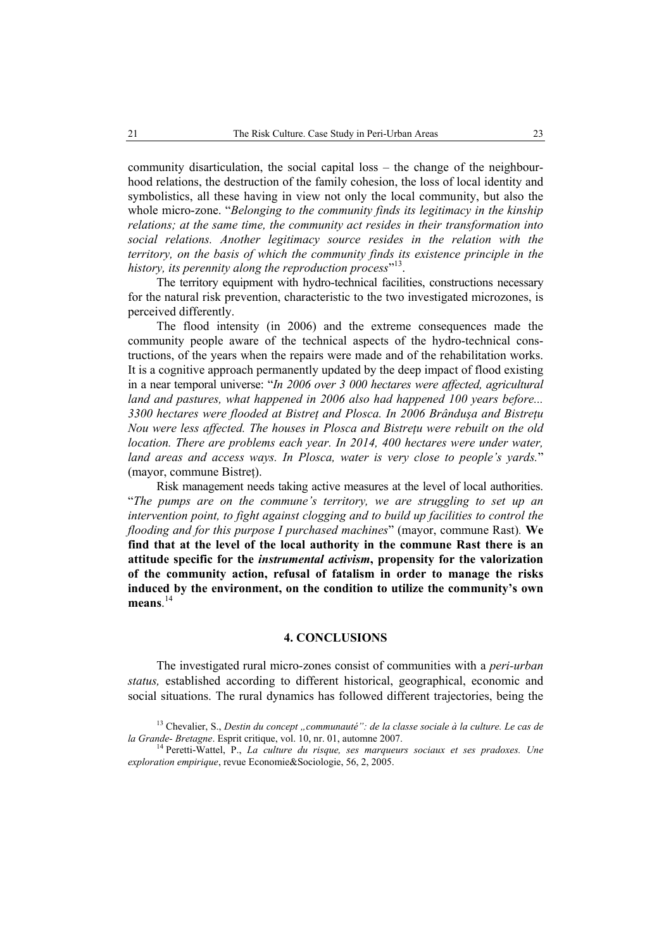community disarticulation, the social capital loss – the change of the neighbourhood relations, the destruction of the family cohesion, the loss of local identity and symbolistics, all these having in view not only the local community, but also the whole micro-zone. "*Belonging to the community finds its legitimacy in the kinship relations; at the same time, the community act resides in their transformation into*  social relations. Another legitimacy source resides in the relation with the *territory, on the basis of which the community finds its existence principle in the*  history, its perennity along the reproduction process"<sup>13</sup>.

The territory equipment with hydro-technical facilities, constructions necessary for the natural risk prevention, characteristic to the two investigated microzones, is perceived differently.

The flood intensity (in 2006) and the extreme consequences made the community people aware of the technical aspects of the hydro-technical constructions, of the years when the repairs were made and of the rehabilitation works. It is a cognitive approach permanently updated by the deep impact of flood existing in a near temporal universe: "*In 2006 over 3 000 hectares were affected, agricultural land and pastures, what happened in 2006 also had happened 100 years before... 3300 hectares were flooded at Bistreţ and Plosca. In 2006 Brânduşa and Bistreţu Nou were less affected. The houses in Plosca and Bistreţu were rebuilt on the old location. There are problems each year. In 2014, 400 hectares were under water, land areas and access ways. In Plosca, water is very close to people's yards.*" (mayor, commune Bistreţ).

Risk management needs taking active measures at the level of local authorities. "*The pumps are on the commune's territory, we are struggling to set up an intervention point, to fight against clogging and to build up facilities to control the flooding and for this purpose I purchased machines*" (mayor, commune Rast)*.* **We find that at the level of the local authority in the commune Rast there is an attitude specific for the** *instrumental activism***, propensity for the valorization of the community action, refusal of fatalism in order to manage the risks induced by the environment, on the condition to utilize the community's own means**. 14

### **4. CONCLUSIONS**

The investigated rural micro-zones consist of communities with a *peri-urban status,* established according to different historical, geographical, economic and social situations. The rural dynamics has followed different trajectories, being the

<sup>&</sup>lt;sup>13</sup> Chevalier, S., *Destin du concept "communauté": de la classe sociale à la culture. Le cas de la Grande- Bretagne*. Esprit critique, vol. 10, nr. 01, automne 2007.<br><sup>14</sup> Peretti-Wattel, P., *La culture du risque, ses marqueurs sociaux et ses pradoxes. Une* 

*exploration empirique*, revue Economie&Sociologie, 56, 2, 2005.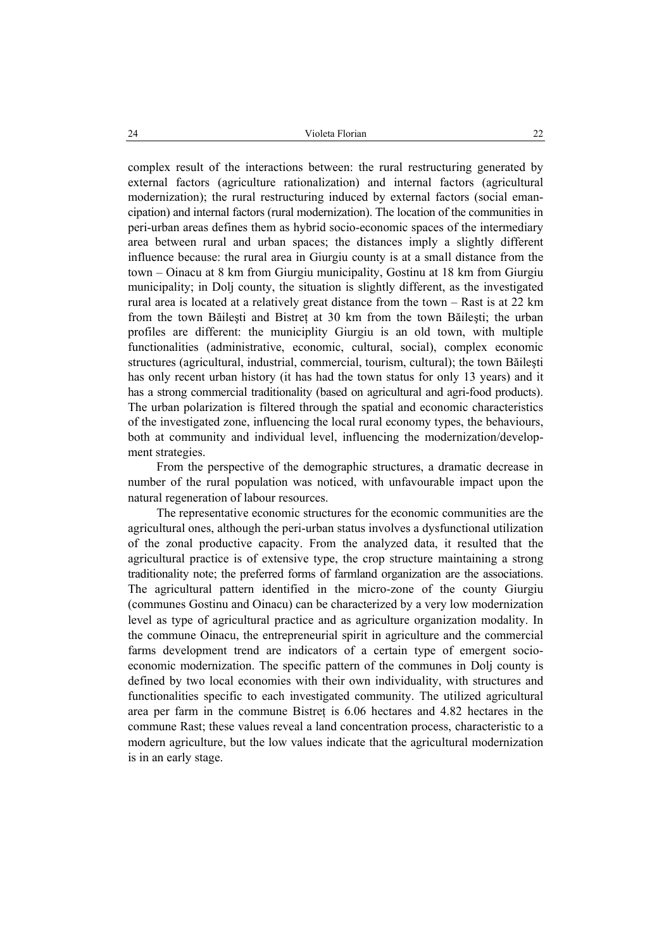complex result of the interactions between: the rural restructuring generated by external factors (agriculture rationalization) and internal factors (agricultural modernization); the rural restructuring induced by external factors (social emancipation) and internal factors (rural modernization). The location of the communities in peri-urban areas defines them as hybrid socio-economic spaces of the intermediary area between rural and urban spaces; the distances imply a slightly different influence because: the rural area in Giurgiu county is at a small distance from the town – Oinacu at 8 km from Giurgiu municipality, Gostinu at 18 km from Giurgiu municipality; in Dolj county, the situation is slightly different, as the investigated rural area is located at a relatively great distance from the town – Rast is at 22 km from the town Băilesti and Bistret at 30 km from the town Băilesti; the urban profiles are different: the municiplity Giurgiu is an old town, with multiple functionalities (administrative, economic, cultural, social), complex economic structures (agricultural, industrial, commercial, tourism, cultural); the town Băileşti has only recent urban history (it has had the town status for only 13 years) and it has a strong commercial traditionality (based on agricultural and agri-food products). The urban polarization is filtered through the spatial and economic characteristics of the investigated zone, influencing the local rural economy types, the behaviours, both at community and individual level, influencing the modernization/development strategies.

From the perspective of the demographic structures, a dramatic decrease in number of the rural population was noticed, with unfavourable impact upon the natural regeneration of labour resources.

The representative economic structures for the economic communities are the agricultural ones, although the peri-urban status involves a dysfunctional utilization of the zonal productive capacity. From the analyzed data, it resulted that the agricultural practice is of extensive type, the crop structure maintaining a strong traditionality note; the preferred forms of farmland organization are the associations. The agricultural pattern identified in the micro-zone of the county Giurgiu (communes Gostinu and Oinacu) can be characterized by a very low modernization level as type of agricultural practice and as agriculture organization modality. In the commune Oinacu, the entrepreneurial spirit in agriculture and the commercial farms development trend are indicators of a certain type of emergent socioeconomic modernization. The specific pattern of the communes in Dolj county is defined by two local economies with their own individuality, with structures and functionalities specific to each investigated community. The utilized agricultural area per farm in the commune Bistreţ is 6.06 hectares and 4.82 hectares in the commune Rast; these values reveal a land concentration process, characteristic to a modern agriculture, but the low values indicate that the agricultural modernization is in an early stage.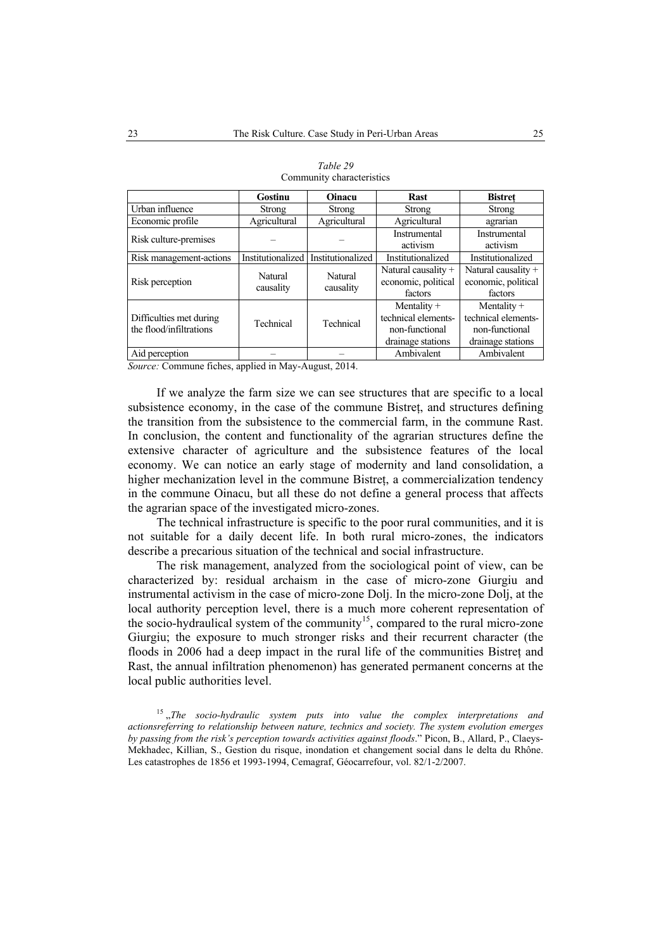|                                                                 | <b>Gostinu</b>    | <b>Oinacu</b>       | <b>Rast</b>           | <b>Bistret</b>        |
|-----------------------------------------------------------------|-------------------|---------------------|-----------------------|-----------------------|
| Urban influence                                                 | Strong            | <b>Strong</b>       | <b>Strong</b>         | Strong                |
| Economic profile                                                | Agricultural      | Agricultural        | Agricultural          | agrarian              |
| Risk culture-premises                                           |                   |                     | Instrumental          | Instrumental          |
|                                                                 |                   |                     | activism              | activism              |
| Risk management-actions                                         | Institutionalized | Institutionalized   | Institutionalized     | Institutionalized     |
| Natural<br>Natural<br>Risk perception<br>causality<br>causality |                   |                     | Natural causality $+$ | Natural causality $+$ |
|                                                                 |                   |                     | economic, political   | economic, political   |
|                                                                 |                   | factors             | factors               |                       |
|                                                                 |                   |                     | Mentality $+$         | Mentality $+$         |
| Difficulties met during<br>Technical<br>the flood/infiltrations | Technical         | technical elements- | technical elements-   |                       |
|                                                                 |                   |                     | non-functional        | non-functional        |
|                                                                 |                   |                     | drainage stations     | drainage stations     |
| Aid perception                                                  |                   |                     | Ambivalent            | Ambivalent            |

| Table 29                  |
|---------------------------|
| Community characteristics |

*Source:* Commune fiches, applied in May-August, 2014.

If we analyze the farm size we can see structures that are specific to a local subsistence economy, in the case of the commune Bistreţ, and structures defining the transition from the subsistence to the commercial farm, in the commune Rast. In conclusion, the content and functionality of the agrarian structures define the extensive character of agriculture and the subsistence features of the local economy. We can notice an early stage of modernity and land consolidation, a higher mechanization level in the commune Bistret, a commercialization tendency in the commune Oinacu, but all these do not define a general process that affects the agrarian space of the investigated micro-zones.

The technical infrastructure is specific to the poor rural communities, and it is not suitable for a daily decent life. In both rural micro-zones, the indicators describe a precarious situation of the technical and social infrastructure.

The risk management, analyzed from the sociological point of view, can be characterized by: residual archaism in the case of micro-zone Giurgiu and instrumental activism in the case of micro-zone Dolj. In the micro-zone Dolj, at the local authority perception level, there is a much more coherent representation of the socio-hydraulical system of the community<sup>15</sup>, compared to the rural micro-zone Giurgiu; the exposure to much stronger risks and their recurrent character (the floods in 2006 had a deep impact in the rural life of the communities Bistret and Rast, the annual infiltration phenomenon) has generated permanent concerns at the local public authorities level.

<sup>15</sup>, The socio-hydraulic system puts into value the complex interpretations and *actionsreferring to relationship between nature, technics and society. The system evolution emerges by passing from the risk's perception towards activities against floods*." Picon, B., Allard, P., Claeys-Mekhadec, Killian, S., Gestion du risque, inondation et changement social dans le delta du Rhône. Les catastrophes de 1856 et 1993-1994, Cemagraf, Géocarrefour, vol. 82/1-2/2007.